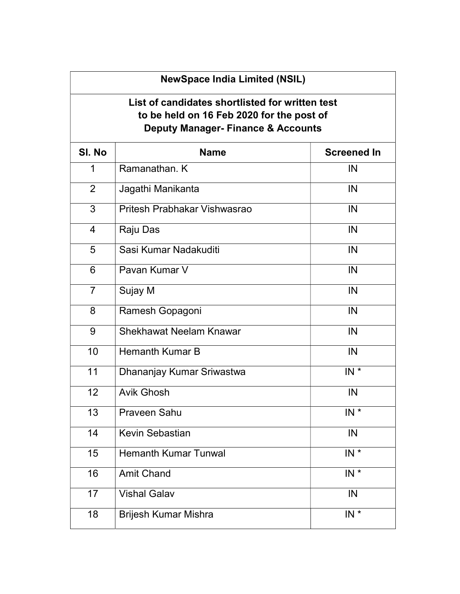## NewSpace India Limited (NSIL)

## List of candidates shortlisted for written test to be held on 16 Feb 2020 for the post of Deputy Manager- Finance & Accounts

| SI. No         | <b>Name</b>                  | <b>Screened In</b> |
|----------------|------------------------------|--------------------|
| 1              | Ramanathan, K                | IN                 |
| $\overline{2}$ | Jagathi Manikanta            | IN                 |
| $\overline{3}$ | Pritesh Prabhakar Vishwasrao | IN                 |
| $\overline{4}$ | Raju Das                     | IN                 |
| $\overline{5}$ | Sasi Kumar Nadakuditi        | IN                 |
| 6              | Pavan Kumar V                | IN                 |
| $\overline{7}$ | Sujay M                      | IN                 |
| 8              | Ramesh Gopagoni              | IN                 |
| 9              | Shekhawat Neelam Knawar      | IN                 |
| 10             | <b>Hemanth Kumar B</b>       | IN                 |
| 11             | Dhananjay Kumar Sriwastwa    | $IN *$             |
| 12             | <b>Avik Ghosh</b>            | IN                 |
| 13             | <b>Praveen Sahu</b>          | $IN *$             |
| 14             | Kevin Sebastian              | IN                 |
| 15             | <b>Hemanth Kumar Tunwal</b>  | $IN^*$             |
| 16             | <b>Amit Chand</b>            | $IN^*$             |
| 17             | <b>Vishal Galav</b>          | IN                 |
| 18             | Brijesh Kumar Mishra         | $IN^*$             |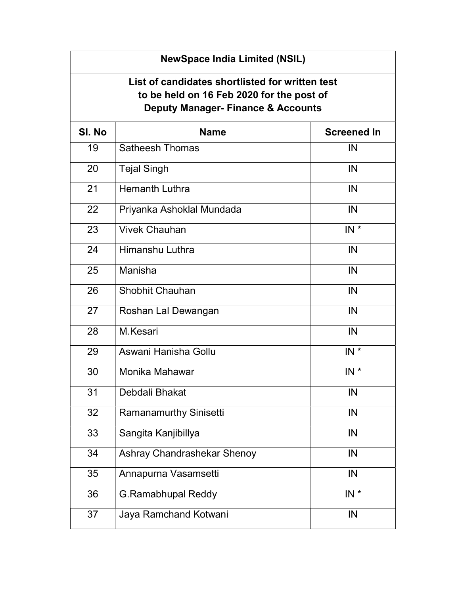| <b>NewSpace India Limited (NSIL)</b>                                                                                                          |                               |                    |  |  |  |
|-----------------------------------------------------------------------------------------------------------------------------------------------|-------------------------------|--------------------|--|--|--|
| List of candidates shortlisted for written test<br>to be held on 16 Feb 2020 for the post of<br><b>Deputy Manager- Finance &amp; Accounts</b> |                               |                    |  |  |  |
| SI. No                                                                                                                                        | <b>Name</b>                   | <b>Screened In</b> |  |  |  |
| 19                                                                                                                                            | <b>Satheesh Thomas</b>        | IN                 |  |  |  |
| 20                                                                                                                                            | <b>Tejal Singh</b>            | IN                 |  |  |  |
| 21                                                                                                                                            | <b>Hemanth Luthra</b>         | IN                 |  |  |  |
| 22                                                                                                                                            | Priyanka Ashoklal Mundada     | IN                 |  |  |  |
| 23                                                                                                                                            | <b>Vivek Chauhan</b>          | $IN^*$             |  |  |  |
| 24                                                                                                                                            | Himanshu Luthra               | IN                 |  |  |  |
| 25                                                                                                                                            | Manisha                       | IN                 |  |  |  |
| 26                                                                                                                                            | <b>Shobhit Chauhan</b>        | IN                 |  |  |  |
| 27                                                                                                                                            | Roshan Lal Dewangan           | IN                 |  |  |  |
| 28                                                                                                                                            | M.Kesari                      | IN                 |  |  |  |
| 29                                                                                                                                            | Aswani Hanisha Gollu          | $IN^*$             |  |  |  |
| 30                                                                                                                                            | Monika Mahawar                | $IN^*$             |  |  |  |
| 31                                                                                                                                            | Debdali Bhakat                | IN                 |  |  |  |
| 32                                                                                                                                            | <b>Ramanamurthy Sinisetti</b> | IN                 |  |  |  |
| 33                                                                                                                                            | Sangita Kanjibillya           | IN                 |  |  |  |
| 34                                                                                                                                            | Ashray Chandrashekar Shenoy   | IN                 |  |  |  |
| 35                                                                                                                                            | Annapurna Vasamsetti          | IN                 |  |  |  |
| 36                                                                                                                                            | <b>G.Ramabhupal Reddy</b>     | $IN *$             |  |  |  |
| 37                                                                                                                                            | Jaya Ramchand Kotwani         | IN                 |  |  |  |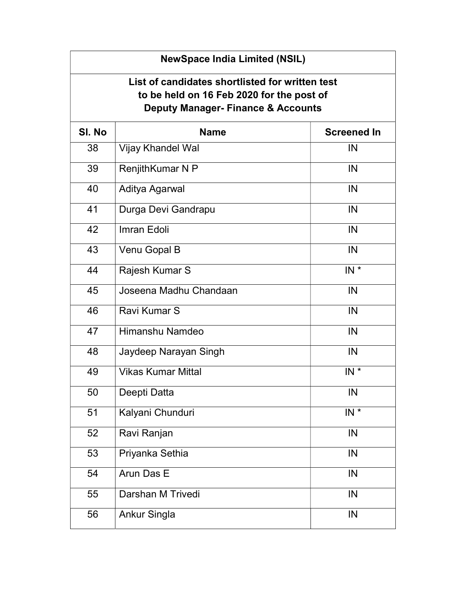| List of candidates shortlisted for written test<br>to be held on 16 Feb 2020 for the post of<br><b>Deputy Manager- Finance &amp; Accounts</b> |                           |                    |  |  |  |
|-----------------------------------------------------------------------------------------------------------------------------------------------|---------------------------|--------------------|--|--|--|
| SI. No                                                                                                                                        | <b>Name</b>               | <b>Screened In</b> |  |  |  |
| 38                                                                                                                                            | Vijay Khandel Wal         | IN                 |  |  |  |
| 39                                                                                                                                            | RenjithKumar N P          | IN                 |  |  |  |
| 40                                                                                                                                            | Aditya Agarwal            | IN                 |  |  |  |
| 41                                                                                                                                            | Durga Devi Gandrapu       | IN                 |  |  |  |
| 42                                                                                                                                            | Imran Edoli               | IN                 |  |  |  |
| 43                                                                                                                                            | Venu Gopal B              | IN                 |  |  |  |
| 44                                                                                                                                            | Rajesh Kumar S            | $IN^*$             |  |  |  |
| 45                                                                                                                                            | Joseena Madhu Chandaan    | IN                 |  |  |  |
| 46                                                                                                                                            | Ravi Kumar S              | IN                 |  |  |  |
| 47                                                                                                                                            | Himanshu Namdeo           | IN                 |  |  |  |
| 48                                                                                                                                            | Jaydeep Narayan Singh     | IN                 |  |  |  |
| 49                                                                                                                                            | <b>Vikas Kumar Mittal</b> | $IN^*$             |  |  |  |
| 50                                                                                                                                            | Deepti Datta              | IN                 |  |  |  |
| 51                                                                                                                                            | Kalyani Chunduri          | $IN$ *             |  |  |  |
| 52                                                                                                                                            | Ravi Ranjan               | IN                 |  |  |  |
| 53                                                                                                                                            | Priyanka Sethia           | IN                 |  |  |  |
| 54                                                                                                                                            | Arun Das E                | IN                 |  |  |  |
| 55                                                                                                                                            | Darshan M Trivedi         | IN                 |  |  |  |
| 56                                                                                                                                            | <b>Ankur Singla</b>       | IN                 |  |  |  |